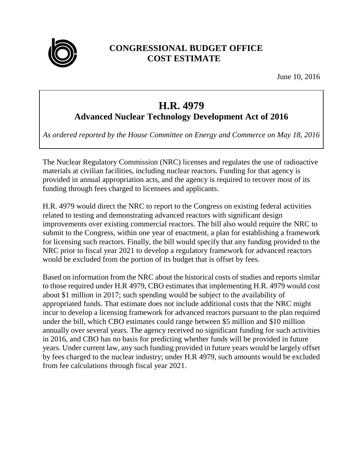

## **CONGRESSIONAL BUDGET OFFICE COST ESTIMATE**

June 10, 2016

## **H.R. 4979**

## **Advanced Nuclear Technology Development Act of 2016**

*As ordered reported by the House Committee on Energy and Commerce on May 18, 2016*

The Nuclear Regulatory Commission (NRC) licenses and regulates the use of radioactive materials at civilian facilities, including nuclear reactors. Funding for that agency is provided in annual appropriation acts, and the agency is required to recover most of its funding through fees charged to licensees and applicants.

H.R. 4979 would direct the NRC to report to the Congress on existing federal activities related to testing and demonstrating advanced reactors with significant design improvements over existing commercial reactors. The bill also would require the NRC to submit to the Congress, within one year of enactment, a plan for establishing a framework for licensing such reactors. Finally, the bill would specify that any funding provided to the NRC prior to fiscal year 2021 to develop a regulatory framework for advanced reactors would be excluded from the portion of its budget that is offset by fees.

Based on information from the NRC about the historical costs of studies and reports similar to those required under H.R 4979, CBO estimates that implementing H.R. 4979 would cost about \$1 million in 2017; such spending would be subject to the availability of appropriated funds. That estimate does not include additional costs that the NRC might incur to develop a licensing framework for advanced reactors pursuant to the plan required under the bill, which CBO estimates could range between \$5 million and \$10 million annually over several years. The agency received no significant funding for such activities in 2016, and CBO has no basis for predicting whether funds will be provided in future years. Under current law, any such funding provided in future years would be largely offset by fees charged to the nuclear industry; under H.R 4979, such amounts would be excluded from fee calculations through fiscal year 2021.